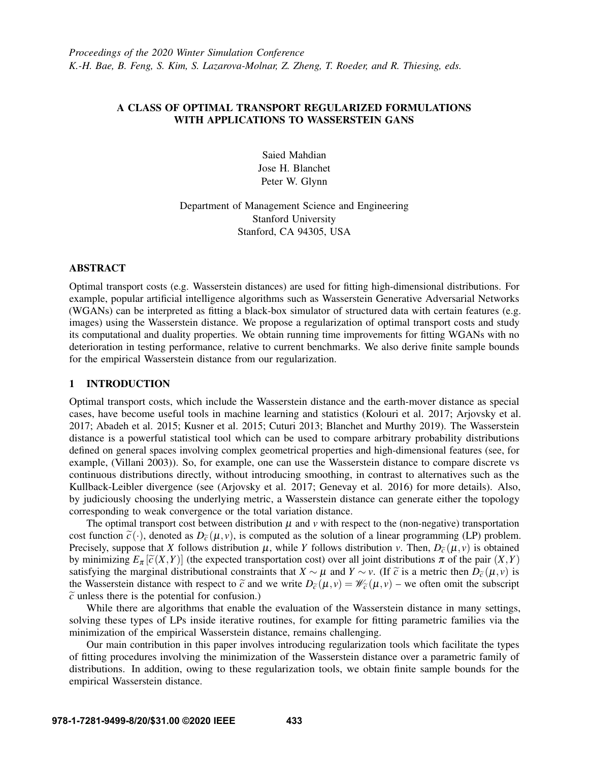# A CLASS OF OPTIMAL TRANSPORT REGULARIZED FORMULATIONS WITH APPLICATIONS TO WASSERSTEIN GANS

Saied Mahdian Jose H. Blanchet Peter W. Glynn

Department of Management Science and Engineering Stanford University Stanford, CA 94305, USA

# ABSTRACT

Optimal transport costs (e.g. Wasserstein distances) are used for fitting high-dimensional distributions. For example, popular artificial intelligence algorithms such as Wasserstein Generative Adversarial Networks (WGANs) can be interpreted as fitting a black-box simulator of structured data with certain features (e.g. images) using the Wasserstein distance. We propose a regularization of optimal transport costs and study its computational and duality properties. We obtain running time improvements for fitting WGANs with no deterioration in testing performance, relative to current benchmarks. We also derive finite sample bounds for the empirical Wasserstein distance from our regularization.

# 1 INTRODUCTION

Optimal transport costs, which include the Wasserstein distance and the earth-mover distance as special cases, have become useful tools in machine learning and statistics [\(Kolouri et al. 2017;](#page-11-0) [Arjovsky et al.](#page-10-0) [2017;](#page-10-0) [Abadeh et al. 2015;](#page-10-1) [Kusner et al. 2015;](#page-11-1) [Cuturi 2013;](#page-10-2) [Blanchet and Murthy 2019\)](#page-10-3). The Wasserstein distance is a powerful statistical tool which can be used to compare arbitrary probability distributions defined on general spaces involving complex geometrical properties and high-dimensional features (see, for example, [\(Villani 2003\)](#page-11-2)). So, for example, one can use the Wasserstein distance to compare discrete vs continuous distributions directly, without introducing smoothing, in contrast to alternatives such as the Kullback-Leibler divergence (see [\(Arjovsky et al. 2017;](#page-10-0) [Genevay et al. 2016\)](#page-11-3) for more details). Also, by judiciously choosing the underlying metric, a Wasserstein distance can generate either the topology corresponding to weak convergence or the total variation distance.

The optimal transport cost between distribution  $\mu$  and  $\nu$  with respect to the (non-negative) transportation cost function  $\tilde{c}(\cdot)$ , denoted as  $D_{\tilde{c}}(\mu, v)$ , is computed as the solution of a linear programming (LP) problem. Precisely, suppose that *X* follows distribution  $\mu$ , while *Y* follows distribution *v*. Then,  $D_{\tilde{c}}(\mu, v)$  is obtained by minimizing  $E_{\pi}[\tilde{c}(X,Y)]$  (the expected transportation cost) over all joint distributions  $\pi$  of the pair  $(X,Y)$ satisfying the marginal distributional constraints that *X* ∼  $\mu$  and *Y* ∼ *v*. (If  $\tilde{c}$  is a metric then  $D_{\tilde{c}}(\mu, v)$  is the Wasserstein distance with respect to  $\tilde{c}$  and we write  $D_{\tilde{c}}(\mu, v) = \mathcal{W}_{\tilde{c}}(\mu, v)$  – we often omit the subscript  $\tilde{c}$  unless there is the potential for confusion.)

While there are algorithms that enable the evaluation of the Wasserstein distance in many settings, solving these types of LPs inside iterative routines, for example for fitting parametric families via the minimization of the empirical Wasserstein distance, remains challenging.

Our main contribution in this paper involves introducing regularization tools which facilitate the types of fitting procedures involving the minimization of the Wasserstein distance over a parametric family of distributions. In addition, owing to these regularization tools, we obtain finite sample bounds for the empirical Wasserstein distance.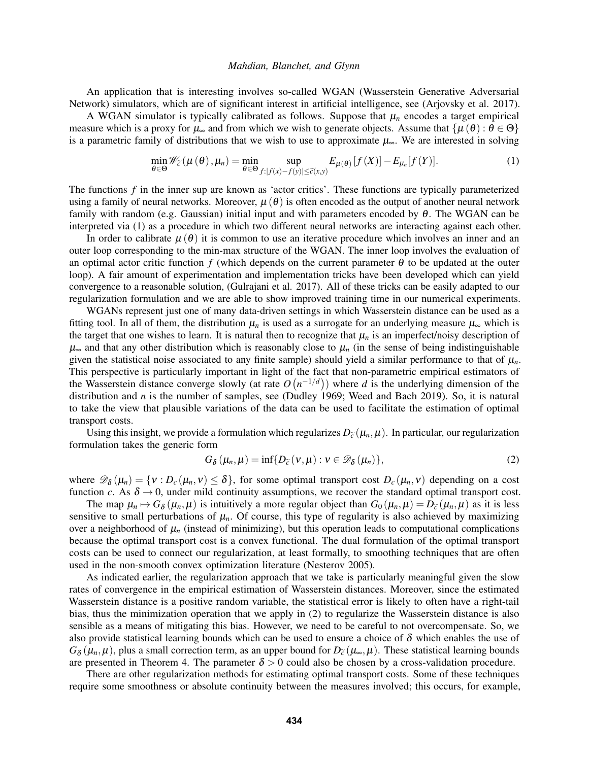An application that is interesting involves so-called WGAN (Wasserstein Generative Adversarial Network) simulators, which are of significant interest in artificial intelligence, see [\(Arjovsky et al. 2017\)](#page-10-0).

A WGAN simulator is typically calibrated as follows. Suppose that  $\mu_n$  encodes a target empirical measure which is a proxy for  $\mu_{\infty}$  and from which we wish to generate objects. Assume that  $\{\mu(\theta): \theta \in \Theta\}$ is a parametric family of distributions that we wish to use to approximate  $\mu_{\infty}$ . We are interested in solving

<span id="page-1-0"></span>
$$
\min_{\theta \in \Theta} \mathscr{W}_{\widetilde{c}}(\mu(\theta), \mu_n) = \min_{\theta \in \Theta} \sup_{f : |f(x) - f(y)| \le \widetilde{c}(x, y)} E_{\mu(\theta)}[f(X)] - E_{\mu_n}[f(Y)]. \tag{1}
$$

The functions *f* in the inner sup are known as 'actor critics'. These functions are typically parameterized using a family of neural networks. Moreover,  $\mu(\theta)$  is often encoded as the output of another neural network family with random (e.g. Gaussian) initial input and with parameters encoded by  $\theta$ . The WGAN can be interpreted via [\(1\)](#page-1-0) as a procedure in which two different neural networks are interacting against each other.

In order to calibrate  $\mu(\theta)$  it is common to use an iterative procedure which involves an inner and an outer loop corresponding to the min-max structure of the WGAN. The inner loop involves the evaluation of an optimal actor critic function *f* (which depends on the current parameter  $\theta$  to be updated at the outer loop). A fair amount of experimentation and implementation tricks have been developed which can yield convergence to a reasonable solution, [\(Gulrajani et al. 2017\)](#page-11-4). All of these tricks can be easily adapted to our regularization formulation and we are able to show improved training time in our numerical experiments.

WGANs represent just one of many data-driven settings in which Wasserstein distance can be used as a fitting tool. In all of them, the distribution  $\mu_n$  is used as a surrogate for an underlying measure  $\mu_\infty$  which is the target that one wishes to learn. It is natural then to recognize that  $\mu_n$  is an imperfect/noisy description of  $\mu_{\infty}$  and that any other distribution which is reasonably close to  $\mu_n$  (in the sense of being indistinguishable given the statistical noise associated to any finite sample) should yield a similar performance to that of  $\mu_n$ . This perspective is particularly important in light of the fact that non-parametric empirical estimators of the Wasserstein distance converge slowly (at rate  $O(n^{-1/d})$ ) where *d* is the underlying dimension of the distribution and *n* is the number of samples, see [\(Dudley 1969;](#page-10-4) [Weed and Bach 2019\)](#page-11-5). So, it is natural to take the view that plausible variations of the data can be used to facilitate the estimation of optimal transport costs.

Using this insight, we provide a formulation which regularizes  $D_{\tilde{c}}(\mu_n,\mu)$ . In particular, our regularization formulation takes the generic form

<span id="page-1-1"></span>
$$
G_{\delta}\left(\mu_{n},\mu\right)=\inf\{D_{\widetilde{c}}\left(v,\mu\right):v\in\mathscr{D}_{\delta}\left(\mu_{n}\right)\},\tag{2}
$$

where  $\mathscr{D}_{\delta}(\mu_n) = \{v : D_c(\mu_n, v) \le \delta\}$ , for some optimal transport cost  $D_c(\mu_n, v)$  depending on a cost function *c*. As  $\delta \rightarrow 0$ , under mild continuity assumptions, we recover the standard optimal transport cost.

The map  $\mu_n \mapsto G_\delta(\mu_n, \mu)$  is intuitively a more regular object than  $G_0(\mu_n, \mu) = D_{\tilde{c}}(\mu_n, \mu)$  as it is less it is less it is less it is less it is less it is less it is less it is less it is less it is less intuitive sensitive to small perturbations of  $\mu_n$ . Of course, this type of regularity is also achieved by maximizing over a neighborhood of  $\mu_n$  (instead of minimizing), but this operation leads to computational complications because the optimal transport cost is a convex functional. The dual formulation of the optimal transport costs can be used to connect our regularization, at least formally, to smoothing techniques that are often used in the non-smooth convex optimization literature [\(Nesterov 2005\)](#page-11-6).

As indicated earlier, the regularization approach that we take is particularly meaningful given the slow rates of convergence in the empirical estimation of Wasserstein distances. Moreover, since the estimated Wasserstein distance is a positive random variable, the statistical error is likely to often have a right-tail bias, thus the minimization operation that we apply in [\(2\)](#page-1-1) to regularize the Wasserstein distance is also sensible as a means of mitigating this bias. However, we need to be careful to not overcompensate. So, we also provide statistical learning bounds which can be used to ensure a choice of  $\delta$  which enables the use of  $G_{\delta}(\mu_n, \mu)$ , plus a small correction term, as an upper bound for  $D_{\tilde{c}}(\mu_{\infty}, \mu)$ . These statistical learning bounds are presented in Theorem [4.](#page-5-0) The parameter  $\delta > 0$  could also be chosen by a cross-validation procedure.

There are other regularization methods for estimating optimal transport costs. Some of these techniques require some smoothness or absolute continuity between the measures involved; this occurs, for example,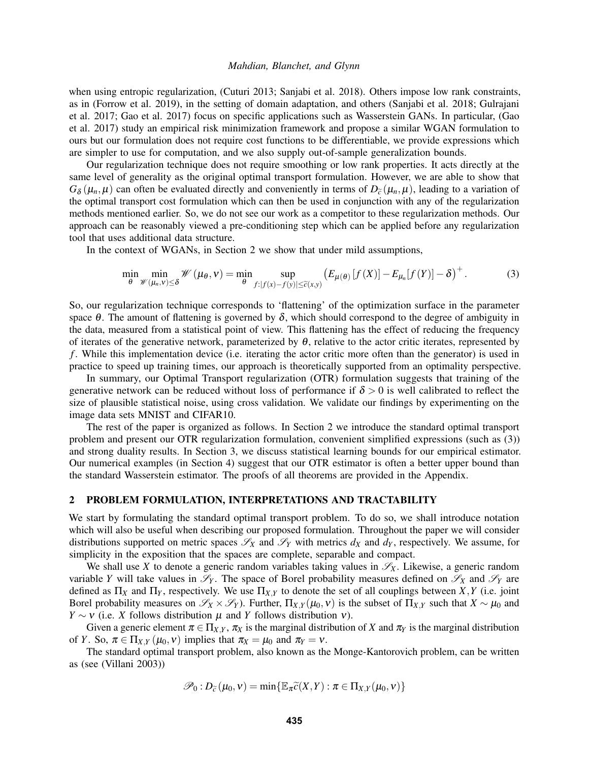when using entropic regularization, [\(Cuturi 2013;](#page-10-2) [Sanjabi et al. 2018\)](#page-11-7). Others impose low rank constraints, as in [\(Forrow et al. 2019\)](#page-11-8), in the setting of domain adaptation, and others [\(Sanjabi et al. 2018;](#page-11-7) [Gulrajani](#page-11-4) [et al. 2017;](#page-11-4) [Gao et al. 2017\)](#page-11-9) focus on specific applications such as Wasserstein GANs. In particular, [\(Gao](#page-11-9) [et al. 2017\)](#page-11-9) study an empirical risk minimization framework and propose a similar WGAN formulation to ours but our formulation does not require cost functions to be differentiable, we provide expressions which are simpler to use for computation, and we also supply out-of-sample generalization bounds.

Our regularization technique does not require smoothing or low rank properties. It acts directly at the same level of generality as the original optimal transport formulation. However, we are able to show that  $G_{\delta}(\mu_n, \mu)$  can often be evaluated directly and conveniently in terms of  $D_{\tilde{c}}(\mu_n, \mu)$ , leading to a variation of the continual transport cost formulation which can then be used in conjunction with any of the requl the optimal transport cost formulation which can then be used in conjunction with any of the regularization methods mentioned earlier. So, we do not see our work as a competitor to these regularization methods. Our approach can be reasonably viewed a pre-conditioning step which can be applied before any regularization tool that uses additional data structure.

In the context of WGANs, in Section [2](#page-4-0) we show that under mild assumptions,

<span id="page-2-1"></span>
$$
\min_{\theta} \min_{\mathcal{W}(\mu_n, v) \leq \delta} \mathcal{W}(\mu_{\theta}, v) = \min_{\theta} \sup_{f : |f(x) - f(y)| \leq \widetilde{c}(x, y)} \left( E_{\mu(\theta)} \left[ f(X) \right] - E_{\mu_n}[f(Y)] - \delta \right)^+.
$$
 (3)

So, our regularization technique corresponds to 'flattening' of the optimization surface in the parameter space  $\theta$ . The amount of flattening is governed by  $\delta$ , which should correspond to the degree of ambiguity in the data, measured from a statistical point of view. This flattening has the effect of reducing the frequency of iterates of the generative network, parameterized by  $\theta$ , relative to the actor critic iterates, represented by *f* . While this implementation device (i.e. iterating the actor critic more often than the generator) is used in practice to speed up training times, our approach is theoretically supported from an optimality perspective.

In summary, our Optimal Transport regularization (OTR) formulation suggests that training of the generative network can be reduced without loss of performance if  $\delta > 0$  is well calibrated to reflect the size of plausible statistical noise, using cross validation. We validate our findings by experimenting on the image data sets MNIST and CIFAR10.

The rest of the paper is organized as follows. In Section [2](#page-2-0) we introduce the standard optimal transport problem and present our OTR regularization formulation, convenient simplified expressions (such as [\(3\)](#page-2-1)) and strong duality results. In Section [3,](#page-5-1) we discuss statistical learning bounds for our empirical estimator. Our numerical examples (in Section [4\)](#page-5-2) suggest that our OTR estimator is often a better upper bound than the standard Wasserstein estimator. The proofs of all theorems are provided in the Appendix.

# <span id="page-2-0"></span>2 PROBLEM FORMULATION, INTERPRETATIONS AND TRACTABILITY

We start by formulating the standard optimal transport problem. To do so, we shall introduce notation which will also be useful when describing our proposed formulation. Throughout the paper we will consider distributions supported on metric spaces  $\mathscr{S}_X$  and  $\mathscr{S}_Y$  with metrics  $d_X$  and  $d_Y$ , respectively. We assume, for simplicity in the exposition that the spaces are complete, separable and compact.

We shall use X to denote a generic random variables taking values in  $\mathscr{S}_X$ . Likewise, a generic random variable *Y* will take values in  $\mathcal{S}_Y$ . The space of Borel probability measures defined on  $\mathcal{S}_X$  and  $\mathcal{S}_Y$  are defined as  $\Pi_X$  and  $\Pi_Y$ , respectively. We use  $\Pi_{X,Y}$  to denote the set of all couplings between *X*, *Y* (i.e. joint Borel probability measures on  $\mathscr{S}_X \times \mathscr{S}_Y$ ). Further,  $\Pi_{X,Y}(\mu_0, v)$  is the subset of  $\Pi_{X,Y}$  such that  $X \sim \mu_0$  and *Y* ∼ *v* (i.e. *X* follows distribution  $\mu$  and *Y* follows distribution *v*).

Given a generic element  $\pi \in \Pi_{X,Y}$ ,  $\pi_X$  is the marginal distribution of X and  $\pi_Y$  is the marginal distribution of *Y*. So,  $\pi \in \Pi_{X,Y}(\mu_0, v)$  implies that  $\pi_X = \mu_0$  and  $\pi_Y = v$ .

The standard optimal transport problem, also known as the Monge-Kantorovich problem, can be written as (see [\(Villani 2003\)](#page-11-2))

$$
\mathscr{P}_0: D_{\widetilde{c}}(\mu_0, v) = \min \{ \mathbb{E}_{\pi} \widetilde{c}(X, Y) : \pi \in \Pi_{X, Y}(\mu_0, v) \}
$$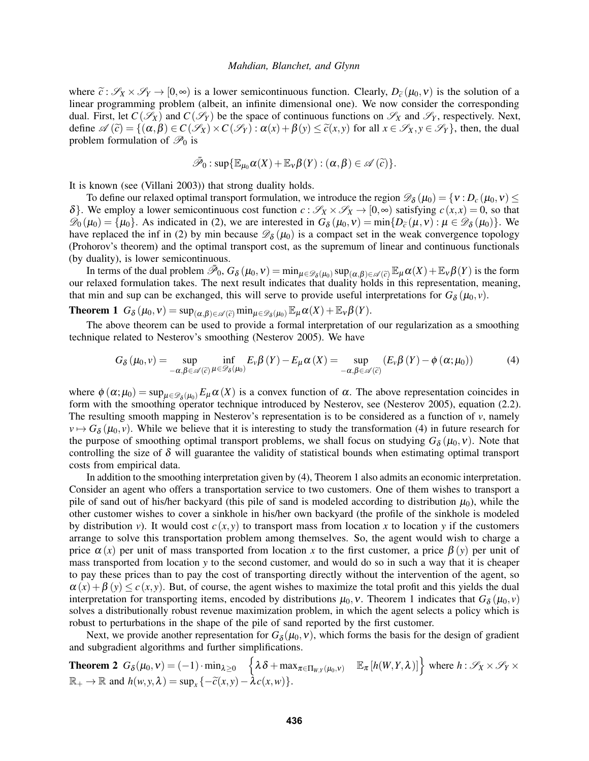where  $\tilde{c}: \mathscr{S}_X \times \mathscr{S}_Y \to [0,\infty)$  is a lower semicontinuous function. Clearly,  $D_{\tilde{c}}(\mu_0, v)$  is the solution of a linear programming problem (albeit, an infinite dimensional one). We now consider the corresponding dual. First, let  $C(\mathscr{S}_X)$  and  $C(\mathscr{S}_Y)$  be the space of continuous functions on  $\mathscr{S}_X$  and  $\mathscr{S}_Y$ , respectively. Next, define  $\mathscr{A}(\tilde{c}) = \{(\alpha, \beta) \in C(\mathscr{S}_X) \times C(\mathscr{S}_Y) : \alpha(x) + \beta(y) \leq \tilde{c}(x, y) \text{ for all } x \in \mathscr{S}_X, y \in \mathscr{S}_Y\}$ , then, the dual problem formulation of  $\mathcal{P}_0$  is

<span id="page-3-0"></span>
$$
\bar{\mathscr{P}}_0: \sup{\mathbb{E}_{\mu_0}\alpha(X)+\mathbb{E}_{\nu}\beta(Y)} : (\alpha, \beta) \in \mathscr{A}(\tilde{c})\}.
$$

It is known (see [\(Villani 2003\)](#page-11-2)) that strong duality holds.

To define our relaxed optimal transport formulation, we introduce the region  $\mathscr{D}_{\delta}(\mu_0) = \{v : D_c(\mu_0, v) \leq$  $\delta$ . We employ a lower semicontinuous cost function  $c : \mathcal{S}_X \times \mathcal{S}_X \to [0, \infty)$  satisfying  $c(x, x) = 0$ , so that  $\mathcal{D}_0(\mu_0) = {\mu_0}$ . As indicated in [\(2\)](#page-1-1), we are interested in  $G_\delta(\mu_0, v) = \min\{D_{\tilde{c}}(\mu, v): \mu \in \mathcal{D}_\delta(\mu_0)\}$ . We have replaced the inf in (2) by min because  $\mathcal{D}_0(\mu_0)$  is a compact set in the week convergence topo have replaced the inf in [\(2\)](#page-1-1) by min because  $\mathcal{D}_{\delta}(\mu_0)$  is a compact set in the weak convergence topology (Prohorov's theorem) and the optimal transport cost, as the supremum of linear and continuous functionals (by duality), is lower semicontinuous.

In terms of the dual problem  $\bar{\mathcal{P}}_0$ ,  $G_\delta(\mu_0, v) = \min_{\mu \in \mathcal{D}_\delta(\mu_0)} \sup_{(\alpha, \beta) \in \mathcal{A}(\tilde{c})} \mathbb{E}_{\mu} \alpha(X) + \mathbb{E}_{v} \beta(Y)$  is the form<br>relaxed formulation takes. The next result indicates that duality holds in this re our relaxed formulation takes. The next result indicates that duality holds in this representation, meaning, that min and sup can be exchanged, this will serve to provide useful interpretations for  $G_{\delta}(\mu_0, v)$ .

<span id="page-3-1"></span>**Theorem 1**  $G_{\delta}(\mu_0, \nu) = \sup_{(\alpha, \beta) \in \mathscr{A}(\widetilde{c})} \min_{\mu \in \mathscr{D}_{\delta}(\mu_0)} \mathbb{E}_{\mu} \alpha(X) + \mathbb{E}_{\nu} \beta(Y).$ 

The above theorem can be used to provide a formal interpretation of our regularization as a smoothing technique related to Nesterov's smoothing [\(Nesterov 2005\)](#page-11-6). We have

$$
G_{\delta}\left(\mu_{0},\nu\right) = \sup_{-\alpha,\beta \in \mathscr{A}(\widetilde{c})} \inf_{\mu \in \mathscr{D}_{\delta}\left(\mu_{0}\right)} E_{\nu} \beta\left(Y\right) - E_{\mu} \alpha\left(X\right) = \sup_{-\alpha,\beta \in \mathscr{A}(\widetilde{c})} \left(E_{\nu} \beta\left(Y\right) - \phi\left(\alpha;\mu_{0}\right)\right) \tag{4}
$$

where  $\phi(\alpha;\mu_0) = \sup_{\mu \in \mathcal{D}_{\delta}(\mu_0)} E_{\mu} \alpha(X)$  is a convex function of  $\alpha$ . The above representation coincides in form with the smoothing operator technique introduced by Nesterov, see [\(Nesterov 2005\)](#page-11-6), equation (2.2). The resulting smooth mapping in Nesterov's representation is to be considered as a function of  $v$ , namely  $v \mapsto G_\delta(\mu_0, v)$ . While we believe that it is interesting to study the transformation [\(4\)](#page-3-0) in future research for the purpose of smoothing optimal transport problems, we shall focus on studying  $G_{\delta}(\mu_0, v)$ . Note that controlling the size of  $\delta$  will guarantee the validity of statistical bounds when estimating optimal transport costs from empirical data.

In addition to the smoothing interpretation given by [\(4\)](#page-3-0), Theorem [1](#page-3-1) also admits an economic interpretation. Consider an agent who offers a transportation service to two customers. One of them wishes to transport a pile of sand out of his/her backyard (this pile of sand is modeled according to distribution  $\mu_0$ ), while the other customer wishes to cover a sinkhole in his/her own backyard (the profile of the sinkhole is modeled by distribution *v*). It would cost  $c(x, y)$  to transport mass from location *x* to location *y* if the customers arrange to solve this transportation problem among themselves. So, the agent would wish to charge a price  $\alpha(x)$  per unit of mass transported from location x to the first customer, a price  $\beta(y)$  per unit of mass transported from location *y* to the second customer, and would do so in such a way that it is cheaper to pay these prices than to pay the cost of transporting directly without the intervention of the agent, so  $\alpha(x) + \beta(y) \leq c(x, y)$ . But, of course, the agent wishes to maximize the total profit and this yields the dual interpretation for transporting items, encoded by distributions  $\mu_0$ , *v*. Theorem [1](#page-3-1) indicates that  $G_\delta(\mu_0, v)$ solves a distributionally robust revenue maximization problem, in which the agent selects a policy which is robust to perturbations in the shape of the pile of sand reported by the first customer.

Next, we provide another representation for  $G_{\delta}(\mu_0, v)$ , which forms the basis for the design of gradient and subgradient algorithms and further simplifications.

<span id="page-3-2"></span>**Theorem 2** 
$$
G_{\delta}(\mu_0, \nu) = (-1) \cdot \min_{\lambda \ge 0} \left\{ \lambda \delta + \max_{\pi \in \Pi_{W,Y}(\mu_0, \nu)} \mathbb{E}_{\pi} [h(W, Y, \lambda)] \right\}
$$
 where  $h : \mathcal{S}_X \times \mathcal{S}_Y \times \mathbb{R}_+ \to \mathbb{R}$  and  $h(w, y, \lambda) = \sup_x \{-\tilde{c}(x, y) - \lambda c(x, w)\}.$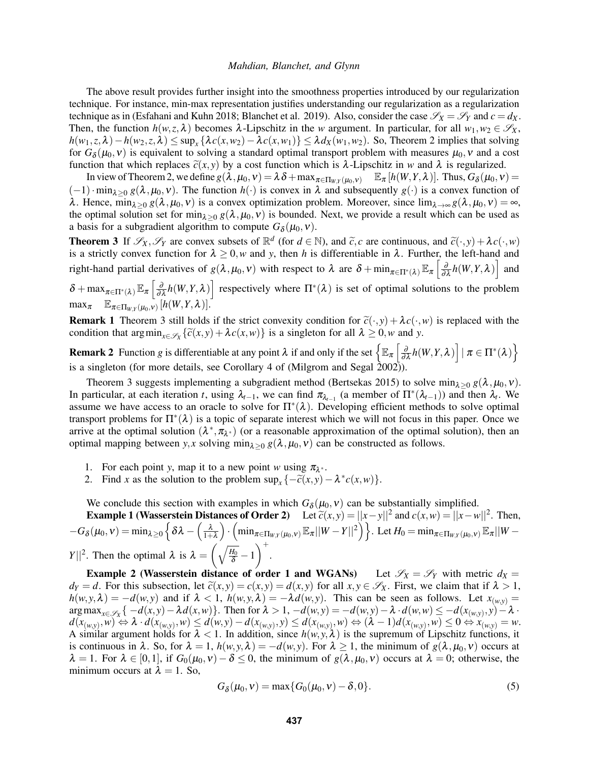The above result provides further insight into the smoothness properties introduced by our regularization technique. For instance, min-max representation justifies understanding our regularization as a regularization technique as in [\(Esfahani and Kuhn 2018;](#page-10-5) [Blanchet et al. 2019\)](#page-10-6). Also, consider the case  $\mathscr{S}_X = \mathscr{S}_Y$  and  $c = d_X$ . Then, the function  $h(w, z, \lambda)$  becomes  $\lambda$ -Lipschitz in the *w* argument. In particular, for all  $w_1, w_2 \in \mathscr{S}_X$ , *h*(*w*<sub>1</sub>,*z*,  $\lambda$ ) − *h*(*w*<sub>[2](#page-3-2)</sub>,*z*,  $\lambda$ ) ≤ sup<sub>*x*</sub> { $\lambda$ *c*(*x*,*w*<sub>2</sub>) −  $\lambda$ *c*(*x*,*w*<sub>1</sub>)} ≤  $\lambda$ *d<sub>X</sub>*(*w*<sub>1</sub>,*w*<sub>2</sub>). So, Theorem 2 implies that solving for  $G_\delta(\mu_0, v)$  is equivalent to solving a standard optimal transport problem with measures  $\mu_0, v$  and a cost function that which replaces  $\tilde{c}(x, y)$  by a cost function which is  $\lambda$ -Lipschitz in *w* and  $\lambda$  is regularized.

In view of Theorem [2,](#page-3-2) we define  $g(\lambda, \mu_0, v) = \lambda \delta + \max_{\pi \in \Pi_{W,Y}(\mu_0, v)}$   $\mathbb{E}_{\pi} [h(W, Y, \lambda)].$  Thus,  $G_{\delta}(\mu_0, v) =$  $(-1)$ ·min<sub> $\lambda > 0$ </sub>  $g(\lambda, \mu_0, \nu)$ . The function  $h(\cdot)$  is convex in  $\lambda$  and subsequently  $g(\cdot)$  is a convex function of λ. Hence, min<sub>λ>0</sub> *g*(λ, μ<sub>0</sub>, ν) is a convex optimization problem. Moreover, since lim<sub>λ→∞</sub> *g*(λ, μ<sub>0</sub>, ν) = ∞, the optimal solution set for min<sub> $\lambda>0$ </sub>  $g(\lambda,\mu_0,\nu)$  is bounded. Next, we provide a result which can be used as a basis for a subgradient algorithm to compute  $G_{\delta}(\mu_0, v)$ .

<span id="page-4-1"></span>**Theorem 3** If  $\mathscr{S}_X$ ,  $\mathscr{S}_Y$  are convex subsets of  $\mathbb{R}^d$  (for  $d \in \mathbb{N}$ ), and  $\tilde{c}_x$  are continuous, and  $\tilde{c}(\cdot, y) + \lambda c(\cdot, w)$  is a strictly convex function for  $\lambda > 0$  w and y then *h* is differentiable is a strictly convex function for  $\lambda \geq 0$ , w and y, then h is differentiable in  $\lambda$ . Further, the left-hand and right-hand partial derivatives of  $g(\lambda, \mu_0, \nu)$  with respect to  $\lambda$  are  $\delta + \min_{\pi \in \Pi^*(\lambda)} \mathbb{E}_{\pi} \left[ \frac{\partial}{\partial \lambda} h(W, Y, \lambda) \right]$  and

 $\delta + \max_{\pi \in \Pi^*(\lambda)} \mathbb{E}_{\pi} \left[ \frac{\partial}{\partial \lambda} h(W, Y, \lambda) \right]$  respectively where  $\Pi^*(\lambda)$  is set of optimal solutions to the problem  $\max_{\pi}$   $\mathbb{E}_{\pi \in \Pi_{W,Y}(\mu_0, v)} [h(W, Y, \lambda)].$ 

**Remark 1** Theorem [3](#page-4-1) still holds if the strict convexity condition for  $\tilde{c}(\cdot, y) + \lambda c(\cdot, w)$  is replaced with the condition that  $\arg\min_{x \in \mathcal{S}_X} {\{\widetilde{c}(x, y) + \lambda c(x, w)\}\}$  is a singleton for all  $\lambda \geq 0$ , w and *y*.

**Remark 2** Function *g* is differentiable at any point  $\lambda$  if and only if the set  $\left\{\mathbb{E}_{\pi}\left[\frac{\partial}{\partial\lambda}h(W,Y,\lambda)\right]|\pi\in\Pi^*(\lambda)\right\}$ is a singleton (for more details, see Corollary 4 of (Milgrom and Segal  $\hat{2}002\hat{)}$ )

Theorem [3](#page-4-1) suggests implementing a subgradient method [\(Bertsekas 2015\)](#page-10-7) to solve min<sub> $\lambda>0$ </sub> *g*( $\lambda, \mu_0, \nu$ ). In particular, at each iteration *t*, using  $\lambda_{t-1}$ , we can find  $\pi_{\lambda_{t-1}}$  (a member of  $\Pi^*(\lambda_{t-1})$ ) and then  $\lambda_t$ . We assume we have access to an oracle to solve for  $\Pi^*(\lambda)$ . Developing efficient methods to solve optimal transport problems for  $\Pi^*(\lambda)$  is a topic of separate interest which we will not focus in this paper. Once we arrive at the optimal solution  $(\lambda^*, \pi_{\lambda^*})$  (or a reasonable approximation of the optimal solution), then an optimal mapping between *y*, *x* solving min<sub> $\lambda > 0$ </sub>  $g(\lambda, \mu_0, v)$  can be constructed as follows.

- 1. For each point *y*, map it to a new point *w* using  $\pi_{\lambda^*}$ .
- <span id="page-4-0"></span>2. Find *x* as the solution to the problem  $\sup_x \{-\tilde{c}(x, y) - \lambda^* c(x, w)\}.$

We conclude this section with examples in which  $G_{\delta}(\mu_0, v)$  can be substantially simplified.

Example 1 (Wasserstein Distances of Order 2) Let  $\tilde{c}(x, y) = ||x - y||^2$  and  $c(x, w) = ||x - w||^2$ . Then,  $-G_\delta(\mu_0,\nu)=\min_{\pmb{\lambda} \geq 0} \Big\{ \delta \pmb{\lambda} - \Big(\frac{\pmb{\lambda}}{1+\pmb{\lambda}}\Big)$  $\left\{ \int \cdot \left( \min_{\pi \in \Pi_{W,Y}(\mu_0, \nu)} \mathbb{E}_{\pi} ||W - Y||^2 \right) \right\}$ . Let  $H_0 = \min_{\pi \in \Pi_{W,Y}(\mu_0, \nu)} \mathbb{E}_{\pi} ||W - Y||^2$ *Y*||<sup>2</sup>. Then the optimal  $\lambda$  is  $\lambda = \left(\sqrt{\frac{H_0}{\delta}} - 1\right)$  $\bigg)$ <sup>+</sup>.

**Example 2** (Wasserstein distance of order 1 and WGANs) Let  $\mathscr{S}_X = \mathscr{S}_Y$  with metric  $d_X =$ *d*<sub>*Y*</sub> = *d*. For this subsection, let  $\tilde{c}(x, y) = c(x, y) = d(x, y)$  for all  $x, y \in \mathcal{S}_X$ . First, we claim that if  $\lambda > 1$ ,  $h(w, y, \lambda) = -d(w, y)$  and if  $\lambda < 1$ ,  $h(w, y, \lambda) = -\lambda d(w, y)$ . This can be seen as follows. Let  $x_{(w, y)} =$  $\arg \max_{x \in \mathscr{S}_X} \{-d(x,y) - \lambda d(x,w)\}.$  Then for  $\lambda > 1$ ,  $-d(w,y) = -d(w,y) - \lambda \cdot d(w,w) \leq -d(x_{(w,y)},y) - \lambda \cdot d(w,w)$  $d(x_{(w,y)}, w) \Leftrightarrow \lambda \cdot d(x_{(w,y)}, w) \leq d(w,y) - d(x_{(w,y)}, y) \leq d(x_{(w,y)}, w) \Leftrightarrow (\lambda - 1)d(x_{(w,y)}, w) \leq 0 \Leftrightarrow x_{(w,y)} = w.$ A similar argument holds for  $\lambda < 1$ . In addition, since  $h(w, y, \lambda)$  is the supremum of Lipschitz functions, it is continuous in  $\lambda$ . So, for  $\lambda = 1$ ,  $h(w, y, \lambda) = -d(w, y)$ . For  $\lambda \ge 1$ , the minimum of  $g(\lambda, \mu_0, v)$  occurs at  $\lambda = 1$ . For  $\lambda \in [0,1]$ , if  $G_0(\mu_0, v) - \delta \le 0$ , the minimum of  $g(\lambda, \mu_0, v)$  occurs at  $\lambda = 0$ ; otherwise, the minimum occurs at  $\lambda = 1$ . So,

<span id="page-4-2"></span>
$$
G_{\delta}(\mu_0, v) = \max\{G_0(\mu_0, v) - \delta, 0\}.
$$
 (5)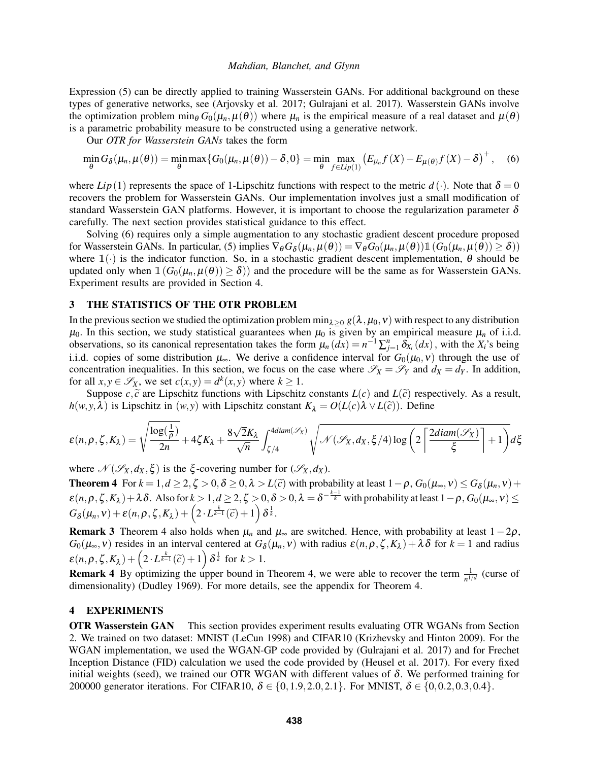Expression [\(5\)](#page-4-2) can be directly applied to training Wasserstein GANs. For additional background on these types of generative networks, see [\(Arjovsky et al. 2017;](#page-10-0) [Gulrajani et al. 2017\)](#page-11-4). Wasserstein GANs involve the optimization problem min<sub>θ</sub>  $G_0(\mu_n, \mu(\theta))$  where  $\mu_n$  is the empirical measure of a real dataset and  $\mu(\theta)$ is a parametric probability measure to be constructed using a generative network.

<span id="page-5-3"></span>Our *OTR for Wasserstein GANs* takes the form

$$
\min_{\theta} G_{\delta}(\mu_n, \mu(\theta)) = \min_{\theta} \max \{ G_0(\mu_n, \mu(\theta)) - \delta, 0 \} = \min_{\theta} \max_{f \in Lip(1)} \left( E_{\mu_n} f(X) - E_{\mu(\theta)} f(X) - \delta \right)^+, \quad (6)
$$

where  $Lip(1)$  represents the space of 1-Lipschitz functions with respect to the metric  $d(\cdot)$ . Note that  $\delta = 0$ recovers the problem for Wasserstein GANs. Our implementation involves just a small modification of standard Wasserstein GAN platforms. However, it is important to choose the regularization parameter  $\delta$ carefully. The next section provides statistical guidance to this effect.

Solving [\(6\)](#page-5-3) requires only a simple augmentation to any stochastic gradient descent procedure proposed for Wasserstein GANs. In particular, [\(5\)](#page-4-2) implies  $\nabla_{\theta} G_{\delta}(\mu_n, \mu(\theta)) = \nabla_{\theta} G_0(\mu_n, \mu(\theta)) \mathbb{1} (\hat{G}_0(\mu_n, \mu(\theta)) \ge \delta)$ where  $\mathbb{1}(\cdot)$  is the indicator function. So, in a stochastic gradient descent implementation,  $\theta$  should be updated only when  $\mathbb{1}(G_0(\mu_n,\mu(\theta)) \ge \delta)$  and the procedure will be the same as for Wasserstein GANs. Experiment results are provided in Section [4.](#page-5-2)

# <span id="page-5-1"></span>3 THE STATISTICS OF THE OTR PROBLEM

In the previous section we studied the optimization problem min<sub> $\lambda>0$ </sub>  $g(\lambda,\mu_0,v)$  with respect to any distribution  $\mu_0$ . In this section, we study statistical guarantees when  $\mu_0$  is given by an empirical measure  $\mu_n$  of i.i.d. observations, so its canonical representation takes the form  $\mu_n(dx) = n^{-1} \sum_{j=1}^n \delta_{X_i}(dx)$ , with the  $X_i$ 's being i.i.d. copies of some distribution  $\mu_{\infty}$ . We derive a confidence interval for  $G_0(\mu_0, v)$  through the use of concentration inequalities. In this section, we focus on the case where  $\mathscr{S}_X = \mathscr{S}_Y$  and  $d_X = d_Y$ . In addition, for all  $x, y \in \mathscr{S}_X$ , we set  $c(x, y) = d^k(x, y)$  where  $k \ge 1$ .

Suppose  $c, \tilde{c}$  are Lipschitz functions with Lipschitz constants  $L(c)$  and  $L(\tilde{c})$  respectively. As a result, *h*(*w*, *y*,  $\lambda$ ) is Lipschitz in (*w*, *y*) with Lipschitz constant  $K_{\lambda} = O(L(c)\lambda \vee L(\tilde{c}))$ . Define

$$
\varepsilon(n,\rho,\zeta,K_\lambda)=\sqrt{\frac{\log(\frac{1}{\rho})}{2n}}+4\zeta K_\lambda+\frac{8\sqrt{2}K_\lambda}{\sqrt{n}}\int_{\zeta/4}^{4diam(\mathscr{S}_X)}\sqrt{\mathscr{N}(\mathscr{S}_X,d_X,\xi/4)\log\left(2\left\lceil\frac{2diam(\mathscr{S}_X)}{\xi}\right\rceil+1\right)}d\xi
$$

where  $\mathcal{N}(\mathcal{S}_X, d_X, \xi)$  is the  $\xi$ -covering number for  $(\mathcal{S}_X, d_X)$ .

<span id="page-5-0"></span>**Theorem 4** For  $k = 1, d \ge 2, \zeta > 0, \delta \ge 0, \lambda > L(\tilde{c})$  with probability at least  $1 - \rho$ ,  $G_0(\mu_{\infty}, v) \le G_{\delta}$ **Theorem 4** For  $k = 1, d \ge 2, \zeta > 0, \delta \ge 0, \lambda > L(\tilde{c})$  with probability at least  $1 - \rho$ ,  $G_0(\mu_\infty, v) \le G_\delta(\mu_n, v) +$  $\varepsilon(n,\rho,\zeta,K_\lambda)+\lambda\delta$ . Also for  $k>1$ ,  $d\geq 2,\zeta>0, \delta>0, \lambda=\delta^{-\frac{k-1}{k}}$  with probability at least  $1-\rho$ ,  $G_0(\mu_\infty,\nu)\leq$  $G_{\delta}(\mu_n, \nu) + \varepsilon(n, \rho, \zeta, K_{\lambda}) + \left(2 \cdot L^{\frac{k}{k-1}}(\widetilde{c}) + 1\right) \delta^{\frac{1}{k}}.$ 

**Remark 3** Theorem [4](#page-5-0) also holds when  $\mu_n$  and  $\mu_\infty$  are switched. Hence, with probability at least  $1-2\rho$ ,  $G_0(\mu_\infty, v)$  resides in an interval centered at  $G_\delta(\mu_n, v)$  with radius  $\varepsilon(n, \rho, \zeta, K_\lambda) + \lambda \delta$  for  $k = 1$  and radius  $\varepsilon(n, \rho, \zeta, K_\lambda) + \left(2 \cdot L^{\frac{k}{k-1}}(\widetilde{c}) + 1\right) \delta^{\frac{1}{k}}$  for  $k > 1$ .

**Remark 4** By optimizing the upper bound in Theorem [4,](#page-5-0) we were able to recover the term  $\frac{1}{n^{1/d}}$  (curse of dimensionality) [\(Dudley 1969\)](#page-10-4). For more details, see the appendix for Theorem [4.](#page-5-0)

### <span id="page-5-2"></span>4 EXPERIMENTS

OTR Wasserstein GAN This section provides experiment results evaluating OTR WGANs from Section [2.](#page-2-0) We trained on two dataset: MNIST [\(LeCun 1998\)](#page-11-11) and CIFAR10 [\(Krizhevsky and Hinton 2009\)](#page-11-12). For the WGAN implementation, we used the WGAN-GP code provided by [\(Gulrajani et al. 2017\)](#page-11-4) and for Frechet Inception Distance (FID) calculation we used the code provided by [\(Heusel et al. 2017\)](#page-11-13). For every fixed initial weights (seed), we trained our OTR WGAN with different values of  $\delta$ . We performed training for 200000 generator iterations. For CIFAR10,  $\delta \in \{0, 1.9, 2.0, 2.1\}$ . For MNIST,  $\delta \in \{0, 0.2, 0.3, 0.4\}$ .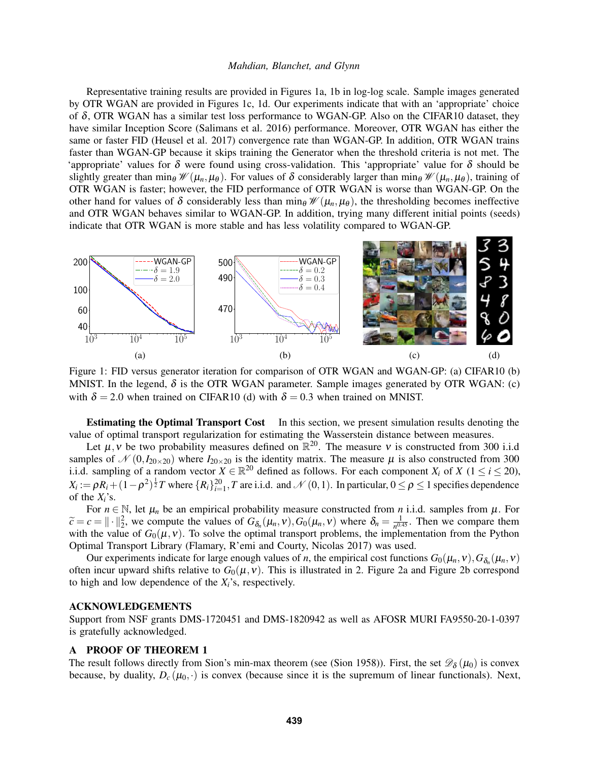Representative training results are provided in Figures [1a,](#page-6-0) [1b](#page-6-0) in log-log scale. Sample images generated by OTR WGAN are provided in Figures [1c,](#page-6-0) [1d.](#page-6-0) Our experiments indicate that with an 'appropriate' choice of  $\delta$ , OTR WGAN has a similar test loss performance to WGAN-GP. Also on the CIFAR10 dataset, they have similar Inception Score [\(Salimans et al. 2016\)](#page-11-14) performance. Moreover, OTR WGAN has either the same or faster FID [\(Heusel et al. 2017\)](#page-11-13) convergence rate than WGAN-GP. In addition, OTR WGAN trains faster than WGAN-GP because it skips training the Generator when the threshold criteria is not met. The 'appropriate' values for  $\delta$  were found using cross-validation. This 'appropriate' value for  $\delta$  should be slightly greater than min<sub>θ</sub>  $\mathcal{W}(\mu_n, \mu_\theta)$ . For values of  $\delta$  considerably larger than min<sub>θ</sub>  $\mathcal{W}(\mu_n, \mu_\theta)$ , training of OTR WGAN is faster; however, the FID performance of OTR WGAN is worse than WGAN-GP. On the other hand for values of  $\delta$  considerably less than min<sub>θ</sub>  $\mathcal{W}(\mu_n, \mu_\theta)$ , the thresholding becomes ineffective and OTR WGAN behaves similar to WGAN-GP. In addition, trying many different initial points (seeds) indicate that OTR WGAN is more stable and has less volatility compared to WGAN-GP.

<span id="page-6-0"></span>

Figure 1: FID versus generator iteration for comparison of OTR WGAN and WGAN-GP: (a) CIFAR10 (b) MNIST. In the legend,  $\delta$  is the OTR WGAN parameter. Sample images generated by OTR WGAN: (c) with  $\delta = 2.0$  when trained on CIFAR10 (d) with  $\delta = 0.3$  when trained on MNIST.

Estimating the Optimal Transport Cost In this section, we present simulation results denoting the value of optimal transport regularization for estimating the Wasserstein distance between measures.

Let  $\mu$ , *v* be two probability measures defined on  $\mathbb{R}^{20}$ . The measure *v* is constructed from 300 i.i.d samples of  $\mathcal{N}(0, I_{20\times20})$  where  $I_{20\times20}$  is the identity matrix. The measure  $\mu$  is also constructed from 300 i.i.d. sampling of a random vector  $X \in \mathbb{R}^{20}$  defined as follows. For each component  $X_i$  of  $X$  ( $1 \le i \le 20$ ),  $X_i := \rho R_i + (1 - \rho^2)^{\frac{1}{2}} T$  where  $\{R_i\}_{i=1}^{20}$ , *T* are i.i.d. and  $\mathcal{N}(0,1)$ . In particular,  $0 \le \rho \le 1$  specifies dependence of the *Xi*'s.

For  $n \in \mathbb{N}$ , let  $\mu_n$  be an empirical probability measure constructed from *n* i.i.d. samples from  $\mu$ . For  $\tilde{c} = c = || \cdot ||_2^2$ , we compute the values of  $G_{\delta_n}(\mu_n, v), G_0(\mu_n, v)$  where  $\delta_n = \frac{1}{n^{0.2}}$  $\frac{1}{n^{0.45}}$ . Then we compare them with the value of  $G_0(\mu, \nu)$ . To solve the optimal transport problems, the implementation from the Python Optimal Transport Library [\(Flamary, R'emi and Courty, Nicolas 2017\)](#page-10-8) was used.

Our experiments indicate for large enough values of *n*, the empirical cost functions  $G_0(\mu_n, v)$ ,  $G_{\delta_n}(\mu_n, v)$ often incur upward shifts relative to  $G_0(\mu, v)$ . This is illustrated in [2.](#page-7-0) Figure [2a](#page-7-0) and Figure [2b](#page-7-0) correspond to high and low dependence of the *Xi*'s, respectively.

# ACKNOWLEDGEMENTS

Support from NSF grants DMS-1720451 and DMS-1820942 as well as AFOSR MURI FA9550-20-1-0397 is gratefully acknowledged.

# A PROOF OF THEOREM [1](#page-3-1)

The result follows directly from Sion's min-max theorem (see [\(Sion 1958\)](#page-11-15)). First, the set  $\mathscr{D}_{\delta}(\mu_0)$  is convex because, by duality,  $D_c(\mu_0, \cdot)$  is convex (because since it is the supremum of linear functionals). Next,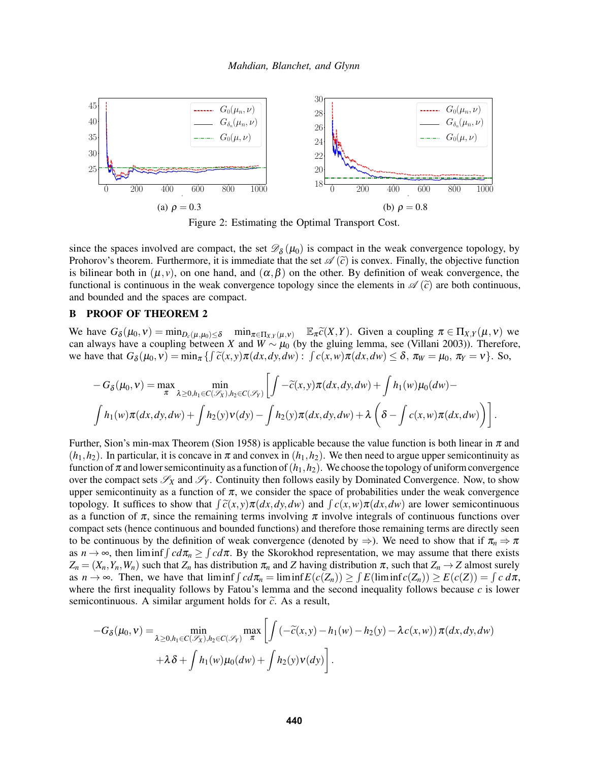<span id="page-7-0"></span>

Figure 2: Estimating the Optimal Transport Cost.

since the spaces involved are compact, the set  $\mathcal{D}_{\delta}(\mu_0)$  is compact in the weak convergence topology, by Prohorov's theorem. Furthermore, it is immediate that the set  $\mathscr{A}(\tilde{c})$  is convex. Finally, the objective function is bilinear both in  $(\mu, \nu)$ , on one hand, and  $(\alpha, \beta)$  on the other. By definition of weak convergence, the functional is continuous in the weak convergence topology since the elements in  $\mathscr{A}(\tilde{c})$  are both continuous, and bounded and the spaces are compact.

# B PROOF OF THEOREM [2](#page-3-2)

We have  $G_{\delta}(\mu_0, v) = \min_{D_c(\mu, \mu_0) \leq \delta} \min_{\pi \in \Pi_X, \gamma(\mu, v)} \mathbb{E}_{\pi} \widetilde{c}(X, Y)$ . Given a coupling  $\pi \in \Pi_X, \gamma(\mu, v)$  we can always have a coupling hetween *X* and *W*  $\alpha, \mu_0$  (by the gluing lemma, see (Villani 2003)). T can always have a coupling between *X* and  $W \sim \mu_0$  (by the gluing lemma, see [\(Villani 2003\)](#page-11-2)). Therefore, we have that  $G_{\delta}(\mu_0, v) = \min_{\pi} \{ \int \tilde{c}(x, y) \pi(dx, dy, dw) : \int c(x, w) \pi(dx, dw) \le \delta, \pi_w = \mu_0, \pi_v = v \}.$  So,

$$
-G_{\delta}(\mu_0, v) = \max_{\pi} \min_{\lambda \geq 0, h_1 \in C(\mathscr{S}_\chi), h_2 \in C(\mathscr{S}_Y)} \left[ \int -\widetilde{c}(x, y) \pi(dx, dy, dw) + \int h_1(w) \mu_0(dw) - \int h_1(w) \pi(dx, dy, dw) + \int h_2(y) v(dy) - \int h_2(y) \pi(dx, dy, dw) + \lambda \left( \delta - \int c(x, w) \pi(dx, dw) \right) \right].
$$

Further, Sion's min-max Theorem [\(Sion 1958\)](#page-11-15) is applicable because the value function is both linear in  $\pi$  and  $(h_1, h_2)$ . In particular, it is concave in  $\pi$  and convex in  $(h_1, h_2)$ . We then need to argue upper semicontinuity as function of  $\pi$  and lower semicontinuity as a function of  $(h_1, h_2)$ . We choose the topology of uniform convergence over the compact sets  $\mathscr{S}_X$  and  $\mathscr{S}_Y$ . Continuity then follows easily by Dominated Convergence. Now, to show upper semicontinuity as a function of  $\pi$ , we consider the space of probabilities under the weak convergence topology. It suffices to show that  $\int \tilde{c}(x, y) \pi(dx, dy, dw)$  and  $\int c(x, w) \pi(dx, dw)$  are lower semicontinuous<br>as a function of  $\pi$  since the remaining terms involving  $\pi$  involve integrals of continuous functions over as a function of  $\pi$ , since the remaining terms involving  $\pi$  involve integrals of continuous functions over compact sets (hence continuous and bounded functions) and therefore those remaining terms are directly seen to be continuous by the definition of weak convergence (denoted by  $\Rightarrow$ ). We need to show that if  $\pi_n \Rightarrow \pi$ as  $n \to \infty$ , then liminf  $\int c d\pi$ ,  $\geq \int c d\pi$ . By the Skorokhod representation, we may assume that there exists  $Z_n = (X_n, Y_n, W_n)$  such that  $Z_n$  has distribution  $\pi_n$  and *Z* having distribution  $\pi$ , such that  $Z_n \to Z$  almost surely as  $n \to \infty$ . Then, we have that liminf  $\int c d\pi_n = \liminf E(c(Z_n)) \ge \int E(\liminf c(Z_n)) \ge E(c(Z)) = \int c d\pi$ , where the first inequality follows by Fatou's lemma and the second inequality follows because *c* is lower semicontinuous. A similar argument holds for  $\tilde{c}$ . As a result,

$$
-G_{\delta}(\mu_0, \nu) = \min_{\lambda \geq 0, h_1 \in C(\mathscr{S}_\chi), h_2 \in C(\mathscr{S}_\chi)} \max_{\pi} \left[ \int \left( -\widetilde{c}(x, y) - h_1(w) - h_2(y) - \lambda c(x, w) \right) \pi(dx, dy, dw) + \lambda \delta + \int h_1(w) \mu_0(dw) + \int h_2(y) \nu(dy) \right].
$$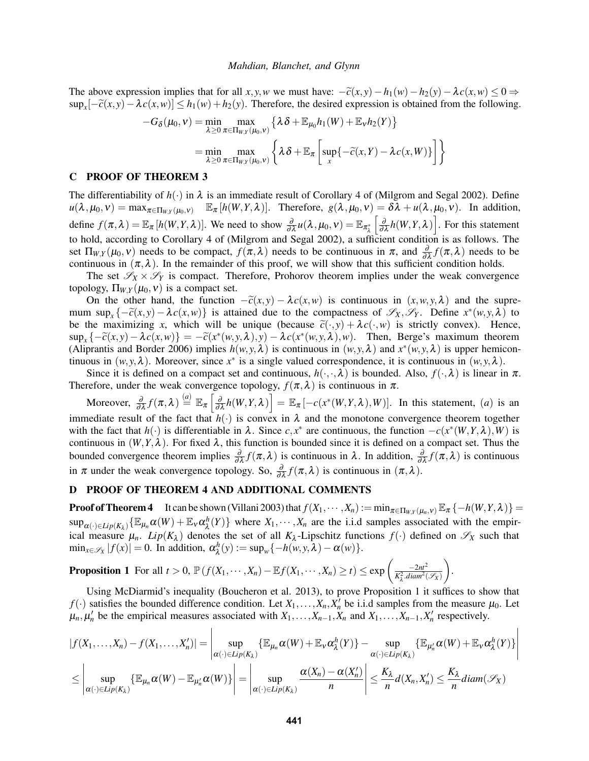The above expression implies that for all *x*, *y*, *w* we must have:  $-\tilde{c}(x, y) - h_1(w) - h_2(y) - \lambda c(x, w) \leq 0 \Rightarrow$  $\sup_x[-\tilde{c}(x, y) - \lambda c(x, w)] \le h_1(w) + h_2(y)$ . Therefore, the desired expression is obtained from the following.

$$
-G_{\delta}(\mu_0, v) = \min_{\lambda \ge 0} \max_{\pi \in \Pi_{W,Y}(\mu_0, v)} \left\{ \lambda \delta + \mathbb{E}_{\mu_0} h_1(W) + \mathbb{E}_{v} h_2(Y) \right\}
$$

$$
= \min_{\lambda \ge 0} \max_{\pi \in \Pi_{W,Y}(\mu_0, v)} \left\{ \lambda \delta + \mathbb{E}_{\pi} \left[ \sup_{x} \{ -\tilde{c}(x, Y) - \lambda c(x, W) \} \right] \right\}
$$

## C PROOF OF THEOREM [3](#page-4-1)

The differentiability of  $h(\cdot)$  in  $\lambda$  is an immediate result of Corollary 4 of [\(Milgrom and Segal 2002\)](#page-11-10). Define  $u(\lambda, \mu_0, \nu) = \max_{\pi \in \Pi_{W,Y}(\mu_0, \nu)}$   $\mathbb{E}_{\pi} [h(W, Y, \lambda)].$  Therefore,  $g(\lambda, \mu_0, \nu) = \delta \lambda + u(\lambda, \mu_0, \nu).$  In addition, define  $f(\pi, \lambda) = \mathbb{E}_{\pi} [h(W, Y, \lambda)]$ . We need to show  $\frac{\partial}{\partial \lambda} u(\lambda, \mu_0, v) = \mathbb{E}_{\pi_{\lambda}^*}$  $\left[\frac{\partial}{\partial \lambda} h(W, Y, \lambda)\right]$ . For this statement to hold, according to Corollary 4 of [\(Milgrom and Segal 2002\)](#page-11-10), a sufficient condition is as follows. The set  $\Pi_{W,Y}(\mu_0, v)$  needs to be compact,  $f(\pi, \lambda)$  needs to be continuous in  $\pi$ , and  $\frac{\partial}{\partial \lambda} f(\pi, \lambda)$  needs to be continuous in  $(\pi, \lambda)$ . In the remainder of this proof, we will show that this sufficient condition holds.

The set  $\mathscr{S}_X \times \mathscr{S}_Y$  is compact. Therefore, Prohorov theorem implies under the weak convergence topology,  $\Pi_{W,Y}(\mu_0, v)$  is a compact set.

On the other hand, the function  $-\tilde{c}(x, y) - \lambda c(x, w)$  is continuous in  $(x, w, y, \lambda)$  and the supremum sup<sub>*x*</sub> {− $\tilde{c}(x, y)$  −  $\lambda c(x, w)$ } is attained due to the compactness of  $\mathscr{S}_X, \mathscr{S}_Y$ . Define  $x^*(w, y, \lambda)$  to be the maximizing *x*, which will be unique (because  $\tilde{c}(\cdot, y) + \lambda c(\cdot, w)$  is strictly convex). Hence,  $\sup_x \{-\tilde{c}(x, y) - \lambda c(x, w)\} = -\tilde{c}(x^*(w, y, \lambda), y) - \lambda c(x^*(w, y, \lambda), w)$ . Then, Berge's maximum theorem [\(Aliprantis and Border 2006\)](#page-10-9) implies  $h(w, y, \lambda)$  is continuous in  $(w, y, \lambda)$  and  $x^*(w, y, \lambda)$  is upper hemicontinuous in  $(w, y, \lambda)$ . Moreover, since  $x^*$  is a single valued correspondence, it is continuous in  $(w, y, \lambda)$ .

Since it is defined on a compact set and continuous,  $h(\cdot,\cdot,\lambda)$  is bounded. Also,  $f(\cdot,\lambda)$  is linear in  $\pi$ . Therefore, under the weak convergence topology,  $f(\pi, \lambda)$  is continuous in  $\pi$ .

 $\text{Moreover, } \frac{\partial}{\partial \lambda} f(\pi, \lambda) \stackrel{(a)}{=} \mathbb{E}_{\pi} \left[ \frac{\partial}{\partial \lambda} h(W, Y, \lambda) \right] = \mathbb{E}_{\pi} \left[ -c(x^*(W, Y, \lambda), W) \right]$ . In this statement, (*a*) is an immediate result of the fact that  $h(\cdot)$  is convex in  $\lambda$  and the monotone convergence theorem together with the fact that  $h(\cdot)$  is differentiable in  $\lambda$ . Since  $c, x^*$  are continuous, the function  $-c(x^*(W, Y, \lambda), W)$  is continuous in  $(W, Y, \lambda)$ . For fixed  $\lambda$ , this function is bounded since it is defined on a compact set. Thus the bounded convergence theorem implies  $\frac{\partial}{\partial \lambda} f(\pi, \lambda)$  is continuous in  $\lambda$ . In addition,  $\frac{\partial}{\partial \lambda} f(\pi, \lambda)$  is continuous in  $\pi$  under the weak convergence topology. So,  $\frac{\partial}{\partial \lambda} f(\pi, \lambda)$  is continuous in  $(\pi, \lambda)$ .

### D PROOF OF THEOREM [4](#page-5-0) AND ADDITIONAL COMMENTS

**Proof of Theorem [4](#page-5-0)** It can be shown [\(Villani 2003\)](#page-11-2) that  $f(X_1, \dots, X_n) := \min_{\pi \in \Pi_{W,Y}( \mu_n, v) } \mathbb{E}_{\pi} \{-h(W, Y, \lambda) \} =$  $\sup_{\alpha(\cdot)\in Lip(K_{\lambda})}\{\mathbb{E}_{\mu_{n}}\alpha(W)+\mathbb{E}_{\nu}\alpha_{\lambda}^{h}\}$  $\{\chi^{h}(Y)\}$  where  $X_1, \dots, X_n$  are the i.i.d samples associated with the empirical measure  $\mu_n$ . *Lip*( $K_\lambda$ ) denotes the set of all  $K_\lambda$ -Lipschitz functions  $f(\cdot)$  defined on  $\mathscr{S}_X$  such that  $\min_{x \in \mathscr{S}_X} |f(x)| = 0$ . In addition,  $\alpha_{\lambda}^h$  $\lambda^{h}(y) := \sup_{w} \{-h(w, y, \lambda) - \alpha(w)\}.$ 

<span id="page-8-0"></span>**Proposition 1** For all 
$$
t > 0
$$
,  $\mathbb{P}(f(X_1, \dots, X_n) - \mathbb{E}f(X_1, \dots, X_n) \ge t) \le \exp\left(\frac{-2nt^2}{K_{\lambda}^2 \cdot diam^2(\mathcal{S}_X)}\right)$ 

Using McDiarmid's inequality [\(Boucheron et al. 2013\)](#page-10-10), to prove Proposition [1](#page-8-0) it suffices to show that  $f(\cdot)$  satisfies the bounded difference condition. Let  $X_1, \ldots, X_n, X'_n$  be i.i.d samples from the measure  $\mu_0$ . Let  $\mu_n, \mu'_n$  be the empirical measures associated with  $X_1, \ldots, X_{n-1}, X_n$  and  $X_1, \ldots, X_{n-1}, X'_n$  respectively.

.

$$
|f(X_1,...,X_n) - f(X_1,...,X_n')| = \left| \sup_{\alpha(\cdot) \in Lip(K_\lambda)} \{ \mathbb{E}_{\mu_n} \alpha(W) + \mathbb{E}_{\nu} \alpha_\lambda^h(Y) \} - \sup_{\alpha(\cdot) \in Lip(K_\lambda)} \{ \mathbb{E}_{\mu_n'} \alpha(W) + \mathbb{E}_{\nu} \alpha_\lambda^h(Y) \} \right|
$$
  

$$
\leq \left| \sup_{\alpha(\cdot) \in Lip(K_\lambda)} \{ \mathbb{E}_{\mu_n} \alpha(W) - \mathbb{E}_{\mu_n'} \alpha(W) \} \right| = \left| \sup_{\alpha(\cdot) \in Lip(K_\lambda)} \frac{\alpha(X_n) - \alpha(X_n')}{n} \right| \leq \frac{K_\lambda}{n} d(X_n, X_n') \leq \frac{K_\lambda}{n} diam(\mathcal{S}_X)
$$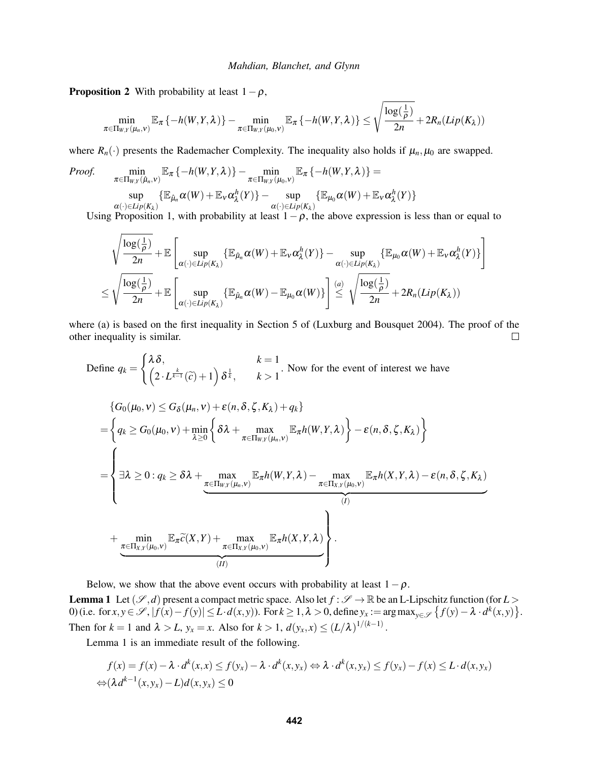<span id="page-9-1"></span>**Proposition 2** With probability at least  $1-\rho$ ,

$$
\min_{\pi \in \Pi_{W,Y}(\mu_n, v)} \mathbb{E}_{\pi} \left\{-h(W, Y, \lambda)\right\} - \min_{\pi \in \Pi_{W,Y}(\mu_0, v)} \mathbb{E}_{\pi} \left\{-h(W, Y, \lambda)\right\} \leq \sqrt{\frac{\log(\frac{1}{\rho})}{2n}} + 2R_n(Lip(K_\lambda))
$$

where  $R_n(\cdot)$  presents the Rademacher Complexity. The inequality also holds if  $\mu_n, \mu_0$  are swapped.

*Proof.*  
\n
$$
\min_{\pi \in \Pi_{W,Y}(\hat{\mu}_n, v)} \mathbb{E}_{\pi} \{-h(W, Y, \lambda)\} - \min_{\pi \in \Pi_{W,Y}(\mu_0, v)} \mathbb{E}_{\pi} \{-h(W, Y, \lambda)\} =
$$
\n
$$
\sup_{\alpha(\cdot) \in Lip(K_{\lambda})} \{\mathbb{E}_{\hat{\mu}_n} \alpha(W) + \mathbb{E}_{\nu} \alpha_{\lambda}^h(Y)\} - \sup_{\alpha(\cdot) \in Lip(K_{\lambda})} \{\mathbb{E}_{\mu_0} \alpha(W) + \mathbb{E}_{\nu} \alpha_{\lambda}^h(Y)\}
$$

Using Proposition [1,](#page-8-0) with probability at least  $1-\rho$ , the above expression is less than or equal to

$$
\sqrt{\frac{\log(\frac{1}{\rho})}{2n}} + \mathbb{E}\left[\sup_{\alpha(\cdot)\in Lip(K_{\lambda})}\{\mathbb{E}_{\hat{\mu}_n}\alpha(W) + \mathbb{E}_{\nu}\alpha_{\lambda}^h(Y)\} - \sup_{\alpha(\cdot)\in Lip(K_{\lambda})}\{\mathbb{E}_{\mu_0}\alpha(W) + \mathbb{E}_{\nu}\alpha_{\lambda}^h(Y)\}\right]
$$
  

$$
\leq \sqrt{\frac{\log(\frac{1}{\rho})}{2n}} + \mathbb{E}\left[\sup_{\alpha(\cdot)\in Lip(K_{\lambda})}\{\mathbb{E}_{\hat{\mu}_n}\alpha(W) - \mathbb{E}_{\mu_0}\alpha(W)\}\right] \stackrel{(a)}{\leq} \sqrt{\frac{\log(\frac{1}{\rho})}{2n}} + 2R_n(Lip(K_{\lambda}))
$$

where (a) is based on the first inequality in Section 5 of [\(Luxburg and Bousquet 2004\)](#page-11-16). The proof of the other inequality is similar.  $\Box$ 

Define 
$$
q_k = \begin{cases} \lambda \delta, & k = 1 \\ \left(2 \cdot L^{\frac{k}{k-1}}(\tilde{c}) + 1\right) \delta^{\frac{1}{k}}, & k > 1 \end{cases}
$$
. Now for the event of interest we have  
\n
$$
\{G_0(\mu_0, v) \le G_\delta(\mu_n, v) + \varepsilon(n, \delta, \zeta, K_\lambda) + q_k\}
$$
\n
$$
= \begin{cases} q_k \ge G_0(\mu_0, v) + \min_{\lambda \ge 0} \left\{ \delta \lambda + \max_{\pi \in \Pi_{W,Y}(\mu_n, v)} \mathbb{E}_\pi h(W, Y, \lambda) \right\} - \varepsilon(n, \delta, \zeta, K_\lambda) \right\}
$$
\n
$$
= \begin{cases} \exists \lambda \ge 0 : q_k \ge \delta \lambda + \max_{\pi \in \Pi_{W,Y}(\mu_n, v)} \mathbb{E}_\pi h(W, Y, \lambda) - \max_{\pi \in \Pi_{X,Y}(\mu_0, v)} \mathbb{E}_\pi h(X, Y, \lambda) - \varepsilon(n, \delta, \zeta, K_\lambda) \end{cases}
$$
\n
$$
+ \min_{\pi \in \Pi_{X,Y}(\mu_0, v)} \mathbb{E}_\pi \tilde{c}(X, Y) + \max_{\pi \in \Pi_{X,Y}(\mu_0, v)} \mathbb{E}_\pi h(X, Y, \lambda) \end{cases}
$$

<span id="page-9-0"></span>Below, we show that the above event occurs with probability at least  $1-\rho$ . **Lemma 1** Let  $(\mathcal{S}, d)$  present a compact metric space. Also let  $f : \mathcal{S} \to \mathbb{R}$  be an L-Lipschitz function (for  $L >$ 0) (i.e. for  $x, y \in \mathscr{S}$ ,  $|f(x) - f(y)| \le L \cdot d(x, y)$ ). For  $k \ge 1, \lambda > 0$ , define  $y_x := \arg \max_{y \in \mathscr{S}} \{f(y) - \lambda \cdot d^k(x, y)\}.$ Then for  $k = 1$  and  $\lambda > L$ ,  $y_x = x$ . Also for  $k > 1$ ,  $d(y_x, x) \le (L/\lambda)^{1/(k-1)}$ .

Lemma [1](#page-9-0) is an immediate result of the following.

$$
f(x) = f(x) - \lambda \cdot d^k(x, x) \le f(y_x) - \lambda \cdot d^k(x, y_x) \Leftrightarrow \lambda \cdot d^k(x, y_x) \le f(y_x) - f(x) \le L \cdot d(x, y_x)
$$
  

$$
\Leftrightarrow (\lambda d^{k-1}(x, y_x) - L)d(x, y_x) \le 0
$$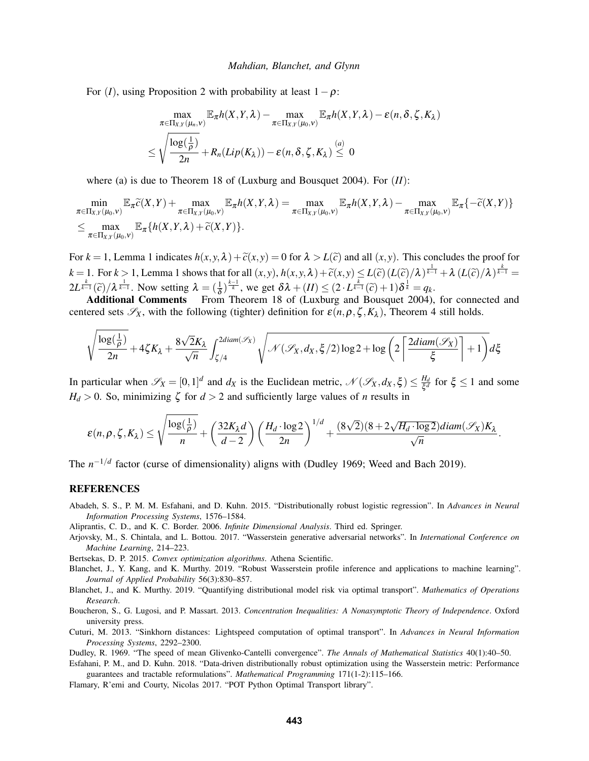For (*I*), using Proposition [2](#page-9-1) with probability at least  $1 - \rho$ :

$$
\max_{\pi \in \Pi_{X,Y}(\mu_n, v)} \mathbb{E}_{\pi} h(X, Y, \lambda) - \max_{\pi \in \Pi_{X,Y}(\mu_0, v)} \mathbb{E}_{\pi} h(X, Y, \lambda) - \varepsilon(n, \delta, \zeta, K_{\lambda})
$$
  

$$
\leq \sqrt{\frac{\log(\frac{1}{\rho})}{2n}} + R_n(Lip(K_{\lambda})) - \varepsilon(n, \delta, \zeta, K_{\lambda}) \leq 0
$$

where (a) is due to Theorem 18 of [\(Luxburg and Bousquet 2004\)](#page-11-16). For (*II*):

$$
\min_{\pi \in \Pi_{X,Y}(\mu_0, v)} \mathbb{E}_{\pi} \widetilde{c}(X, Y) + \max_{\pi \in \Pi_{X,Y}(\mu_0, v)} \mathbb{E}_{\pi} h(X, Y, \lambda) = \max_{\pi \in \Pi_{X,Y}(\mu_0, v)} \mathbb{E}_{\pi} h(X, Y, \lambda) - \max_{\pi \in \Pi_{X,Y}(\mu_0, v)} \mathbb{E}_{\pi} \{ -\widetilde{c}(X, Y) \}
$$
\n
$$
\leq \max_{\pi \in \Pi_{X,Y}(\mu_0, v)} \mathbb{E}_{\pi} \{ h(X, Y, \lambda) + \widetilde{c}(X, Y) \}.
$$

For  $k = 1$  $k = 1$ , Lemma 1 indicates  $h(x, y, \lambda) + c(x, y) = 0$  for  $\lambda > L(c)$  and all  $(x, y)$ . This concludes the proof for  $k = 1$  $k = 1$ . For  $k > 1$ , Lemma 1 shows that for all  $(x, y)$ ,  $h(x, y, \lambda) + \tilde{c}(x, y) \le L(\tilde{c}) \left(L(\tilde{c})/\lambda\right)^{\frac{1}{k-1}} + \lambda \left(L(\tilde{c})/\lambda\right)^{\frac{k}{k-1}} =$  $2L^{\frac{k}{k-1}}(\tilde{c})/\lambda^{\frac{1}{k-1}}$ . Now setting  $\lambda = (\frac{1}{\delta})^{\frac{k-1}{k}}$ , we get  $\delta\lambda + (II) \leq (2 \cdot L^{\frac{k}{k-1}}(\tilde{c}) + 1)\delta^{\frac{1}{k}} = q_k$ .<br>Additional Comments From Theorem 18 of (Luxburg and Bousquet 2004).

Additional Comments From Theorem 18 of [\(Luxburg and Bousquet 2004\)](#page-11-16), for connected and centered sets  $\mathscr{S}_X$ , with the following (tighter) definition for  $\varepsilon(n, \rho, \zeta, K_\lambda)$ , Theorem [4](#page-5-0) still holds.

$$
\sqrt{\frac{\log(\frac{1}{\rho})}{2n}} + 4\zeta K_{\lambda} + \frac{8\sqrt{2}K_{\lambda}}{\sqrt{n}} \int_{\zeta/4}^{2diam(\mathscr{S}_X)} \sqrt{\mathscr{N}(\mathscr{S}_X, d_X, \xi/2) \log 2 + \log\left(2\left\lceil \frac{2diam(\mathscr{S}_X)}{\xi} \right\rceil + 1\right)} d\xi
$$

In particular when  $\mathscr{S}_X = [0,1]^d$  and  $d_X$  is the Euclidean metric,  $\mathscr{N}(\mathscr{S}_X, d_X, \xi) \leq \frac{H_d}{\xi d}$  $\frac{H_d}{\xi^d}$  for  $\xi \le 1$  and some  $H_d > 0$ . So, minimizing  $\zeta$  for  $d > 2$  and sufficiently large values of *n* results in

$$
\varepsilon(n,\rho,\zeta,K_\lambda)\leq \sqrt{\frac{\log(\frac{1}{\rho})}{n}}+\left(\frac{32K_\lambda d}{d-2}\right)\left(\frac{H_d\cdot \log 2}{2n}\right)^{1/d}+\frac{(8\sqrt{2})(8+2\sqrt{H_d\cdot \log 2})diam(\mathscr{S}_X)K_\lambda}{\sqrt{n}}.
$$

The *n*<sup>-1/*d*</sup> factor (curse of dimensionality) aligns with [\(Dudley 1969;](#page-10-4) [Weed and Bach 2019\)](#page-11-5).

#### REFERENCES

<span id="page-10-1"></span>Abadeh, S. S., P. M. M. Esfahani, and D. Kuhn. 2015. "Distributionally robust logistic regression". In *Advances in Neural Information Processing Systems*, 1576–1584.

<span id="page-10-9"></span>Aliprantis, C. D., and K. C. Border. 2006. *Infinite Dimensional Analysis*. Third ed. Springer.

<span id="page-10-0"></span>Arjovsky, M., S. Chintala, and L. Bottou. 2017. "Wasserstein generative adversarial networks". In *International Conference on Machine Learning*, 214–223.

<span id="page-10-7"></span>Bertsekas, D. P. 2015. *Convex optimization algorithms*. Athena Scientific.

- <span id="page-10-6"></span>Blanchet, J., Y. Kang, and K. Murthy. 2019. "Robust Wasserstein profile inference and applications to machine learning". *Journal of Applied Probability* 56(3):830–857.
- <span id="page-10-3"></span>Blanchet, J., and K. Murthy. 2019. "Quantifying distributional model risk via optimal transport". *Mathematics of Operations Research*.
- <span id="page-10-10"></span>Boucheron, S., G. Lugosi, and P. Massart. 2013. *Concentration Inequalities: A Nonasymptotic Theory of Independence*. Oxford university press.
- <span id="page-10-2"></span>Cuturi, M. 2013. "Sinkhorn distances: Lightspeed computation of optimal transport". In *Advances in Neural Information Processing Systems*, 2292–2300.

<span id="page-10-4"></span>Dudley, R. 1969. "The speed of mean Glivenko-Cantelli convergence". *The Annals of Mathematical Statistics* 40(1):40–50.

- <span id="page-10-5"></span>Esfahani, P. M., and D. Kuhn. 2018. "Data-driven distributionally robust optimization using the Wasserstein metric: Performance guarantees and tractable reformulations". *Mathematical Programming* 171(1-2):115–166.
- <span id="page-10-8"></span>Flamary, R'emi and Courty, Nicolas 2017. "POT Python Optimal Transport library".